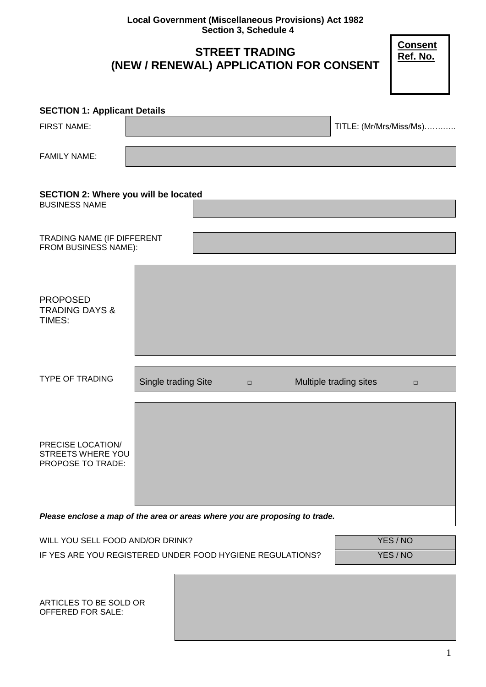**Local Government (Miscellaneous Provisions) Act 1982 Section 3, Schedule 4**

# **STREET TRADING (NEW / RENEWAL) APPLICATION FOR CONSENT**

**Consent Ref. No.**

| <b>SECTION 1: Applicant Details</b>                          |                     |        |                        |                         |        |
|--------------------------------------------------------------|---------------------|--------|------------------------|-------------------------|--------|
| <b>FIRST NAME:</b>                                           |                     |        |                        | TITLE: (Mr/Mrs/Miss/Ms) |        |
| <b>FAMILY NAME:</b>                                          |                     |        |                        |                         |        |
| SECTION 2: Where you will be located<br><b>BUSINESS NAME</b> |                     |        |                        |                         |        |
| TRADING NAME (IF DIFFERENT<br>FROM BUSINESS NAME):           |                     |        |                        |                         |        |
| <b>PROPOSED</b><br><b>TRADING DAYS &amp;</b><br>TIMES:       |                     |        |                        |                         |        |
| <b>TYPE OF TRADING</b>                                       | Single trading Site | $\Box$ | Multiple trading sites |                         | $\Box$ |
| PRECISE LOCATION/<br>STREETS WHERE YOU<br>PROPOSE TO TRADE:  |                     |        |                        |                         |        |

*Please enclose a map of the area or areas where you are proposing to trade.*

| WILL YOU SELL FOOD AND/OR DRINK?                          | YES/NO |
|-----------------------------------------------------------|--------|
| IF YES ARE YOU REGISTERED UNDER FOOD HYGIENE REGULATIONS? | YES/NO |

ARTICLES TO BE SOLD OR OFFERED FOR SALE: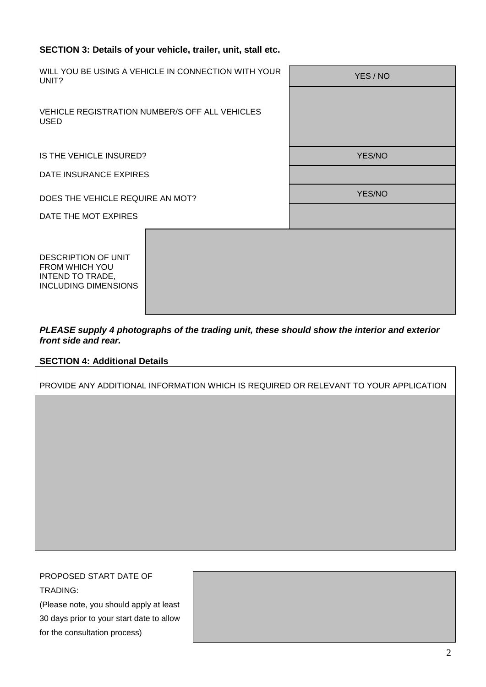# **SECTION 3: Details of your vehicle, trailer, unit, stall etc.**

| UNIT?                                                                                           | WILL YOU BE USING A VEHICLE IN CONNECTION WITH YOUR | YES / NO      |
|-------------------------------------------------------------------------------------------------|-----------------------------------------------------|---------------|
| VEHICLE REGISTRATION NUMBER/S OFF ALL VEHICLES<br><b>USED</b>                                   |                                                     |               |
|                                                                                                 |                                                     |               |
| IS THE VEHICLE INSURED?                                                                         |                                                     | <b>YES/NO</b> |
| DATE INSURANCE EXPIRES                                                                          |                                                     |               |
| DOES THE VEHICLE REQUIRE AN MOT?                                                                |                                                     | YES/NO        |
| DATE THE MOT EXPIRES                                                                            |                                                     |               |
| <b>DESCRIPTION OF UNIT</b><br>FROM WHICH YOU<br>INTEND TO TRADE,<br><b>INCLUDING DIMENSIONS</b> |                                                     |               |

*PLEASE supply 4 photographs of the trading unit, these should show the interior and exterior front side and rear.*

# **SECTION 4: Additional Details**

PROVIDE ANY ADDITIONAL INFORMATION WHICH IS REQUIRED OR RELEVANT TO YOUR APPLICATION

PROPOSED START DATE OF TRADING:

(Please note, you should apply at least 30 days prior to your start date to allow for the consultation process)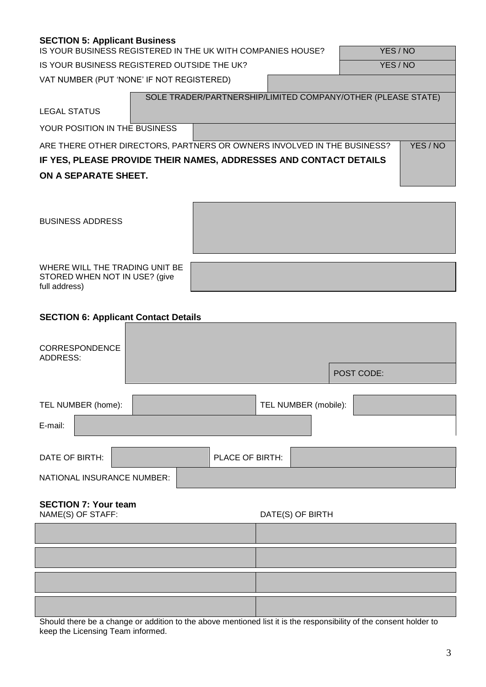# **SECTION 5: Applicant Business**

IS YOUR BUSINESS REGISTERED IN THE UK WITH COMPANIES HOUSE? FOR A VES / NO

IS YOUR BUSINESS REGISTERED OUTSIDE THE UK?

VAT NUMBER (PUT 'NONE' IF NOT REGISTERED)

|                               | SOLE TRADER/PARTNERSHIP/LIMITED COMPANY/OTHER (PLEASE STATE)            |        |
|-------------------------------|-------------------------------------------------------------------------|--------|
| <b>LEGAL STATUS</b>           |                                                                         |        |
| YOUR POSITION IN THE BUSINESS |                                                                         |        |
|                               | ARE THERE OTHER DIRECTORS, PARTNERS OR OWNERS INVOLVED IN THE BUSINESS? | YES/NO |
|                               | IF YES, PLEASE PROVIDE THEIR NAMES, ADDRESSES AND CONTACT DETAILS       |        |
| ON A SEPARATE SHEET.          |                                                                         |        |

BUSINESS ADDRESS

WHERE WILL THE TRADING UNIT BE STORED WHEN NOT IN USE? (give full address)

# **SECTION 6: Applicant Contact Details**

| CORRESPONDENCE<br>ADDRESS: | POST CODE:           |
|----------------------------|----------------------|
| TEL NUMBER (home):         | TEL NUMBER (mobile): |
| E-mail:                    |                      |
| DATE OF BIRTH:             | PLACE OF BIRTH:      |
| NATIONAL INSURANCE NUMBER: |                      |

# **SECTION 7: Your team**

NAME(S) OF STAFF: DATE(S) OF BIRTH

Should there be a change or addition to the above mentioned list it is the responsibility of the consent holder to keep the Licensing Team informed.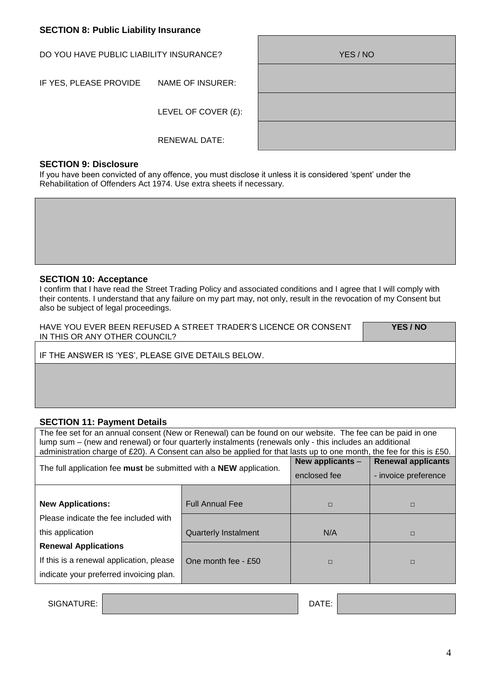# **SECTION 8: Public Liability Insurance**

DO YOU HAVE PUBLIC LIABILITY INSURANCE?

IF YES, PLEASE PROVIDE NAME OF INSURER:

LEVEL OF COVER (£):

RENEWAL DATE:

| YES / NO |  |
|----------|--|
|          |  |
|          |  |
|          |  |
|          |  |
|          |  |
|          |  |
|          |  |

#### **SECTION 9: Disclosure**

If you have been convicted of any offence, you must disclose it unless it is considered 'spent' under the Rehabilitation of Offenders Act 1974. Use extra sheets if necessary.

### **SECTION 10: Acceptance**

I confirm that I have read the Street Trading Policy and associated conditions and I agree that I will comply with their contents. I understand that any failure on my part may, not only, result in the revocation of my Consent but also be subject of legal proceedings.

HAVE YOU EVER BEEN REFUSED A STREET TRADER'S LICENCE OR CONSENT IN THIS OR ANY OTHER COUNCIL?

**YES / NO**

IF THE ANSWER IS 'YES', PLEASE GIVE DETAILS BELOW.

# **SECTION 11: Payment Details**

The fee set for an annual consent (New or Renewal) can be found on our website. The fee can be paid in one lump sum – (new and renewal) or four quarterly instalments (renewals only - this includes an additional administration charge of £20). A Consent can also be applied for that lasts up to one month, the fee for this is £50. The full application fee **must** be submitted with a **NEW** application. **New applicants** – enclosed fee **Renewal applicants**  - invoice preference **New Applications:** Please indicate the fee included with this application **Renewal Applications** If this is a renewal application, please indicate your preferred invoicing plan. Full Annual Fee □ □ □ □ □ □ □ Quarterly Instalment | N/A | □ One month fee - £50  $\Box$ 

SIGNATURE: DATE: 2000 DATE: 2000 DATE: 2000 DATE: 2000 DATE: 2000 DATE: 2000 DATE: 2000 DATE: 2000 DATE: 2000

4